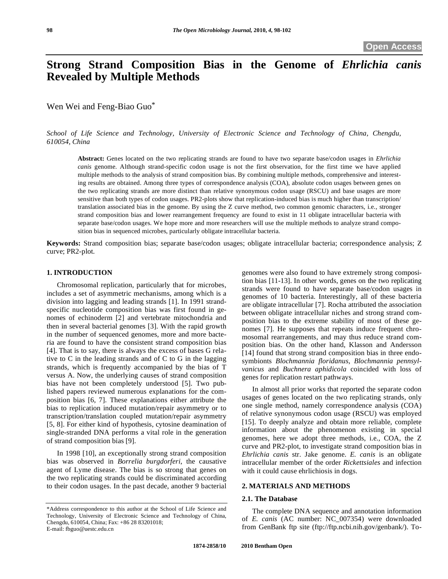# **Strong Strand Composition Bias in the Genome of** *Ehrlichia canis* **Revealed by Multiple Methods**

Wen Wei and Feng-Biao Guo\*

*School of Life Science and Technology, University of Electronic Science and Technology of China, Chengdu, 610054, China* 

**Abstract:** Genes located on the two replicating strands are found to have two separate base/codon usages in *Ehrlichia canis* genome. Although strand-specific codon usage is not the first observation, for the first time we have applied multiple methods to the analysis of strand composition bias. By combining multiple methods, comprehensive and interesting results are obtained. Among three types of correspondence analysis (COA), absolute codon usages between genes on the two replicating strands are more distinct than relative synonymous codon usage (RSCU) and base usages are more sensitive than both types of codon usages. PR2-plots show that replication-induced bias is much higher than transcription/ translation associated bias in the genome. By using the Z curve method, two common genomic characters, i.e., stronger strand composition bias and lower rearrangement frequency are found to exist in 11 obligate intracellular bacteria with separate base/codon usages. We hope more and more researchers will use the multiple methods to analyze strand composition bias in sequenced microbes, particularly obligate intracellular bacteria.

**Keywords:** Strand composition bias; separate base/codon usages; obligate intracellular bacteria; correspondence analysis; Z curve; PR2-plot.

## **1. INTRODUCTION**

 Chromosomal replication, particularly that for microbes, includes a set of asymmetric mechanisms, among which is a division into lagging and leading strands [1]. In 1991 strandspecific nucleotide composition bias was first found in genomes of echinoderm [2] and vertebrate mitochondria and then in several bacterial genomes [3]. With the rapid growth in the number of sequenced genomes, more and more bacteria are found to have the consistent strand composition bias [4]. That is to say, there is always the excess of bases G relative to C in the leading strands and of C to G in the lagging strands, which is frequently accompanied by the bias of T versus A. Now, the underlying causes of strand composition bias have not been completely understood [5]. Two published papers reviewed numerous explanations for the composition bias [6, 7]. These explanations either attribute the bias to replication induced mutation/repair asymmetry or to transcription/translation coupled mutation/repair asymmetry [5, 8]. For either kind of hypothesis, cytosine deamination of single-stranded DNA performs a vital role in the generation of strand composition bias [9].

 In 1998 [10], an exceptionally strong strand composition bias was observed in *Borrelia burgdorferi*, the causative agent of Lyme disease. The bias is so strong that genes on the two replicating strands could be discriminated according to their codon usages. In the past decade, another 9 bacterial genomes were also found to have extremely strong composition bias [11-13]. In other words, genes on the two replicating strands were found to have separate base/codon usages in genomes of 10 bacteria. Interestingly, all of these bacteria are obligate intracellular [7]. Rocha attributed the association between obligate intracellular niches and strong strand composition bias to the extreme stability of most of these genomes [7]. He supposes that repeats induce frequent chromosomal rearrangements, and may thus reduce strand composition bias. On the other hand, Klasson and Andersson [14] found that strong strand composition bias in three endosymbionts *Blochmannia floridanus*, *Blochmannia pennsylvanicus* and *Buchnera aphidicola* coincided with loss of genes for replication restart pathways.

 In almost all prior works that reported the separate codon usages of genes located on the two replicating strands, only one single method, namely correspondence analysis (COA) of relative synonymous codon usage (RSCU) was employed [15]. To deeply analyze and obtain more reliable, complete information about the phenomenon existing in special genomes, here we adopt three methods, i.e., COA, the Z curve and PR2-plot, to investigate strand composition bias in *Ehrlichia canis* str. Jake genome. *E. canis* is an obligate intracellular member of the order *Rickettsiales* and infection with it could cause ehrlichiosis in dogs.

### **2. MATERIALS AND METHODS**

## **2.1. The Database**

 The complete DNA sequence and annotation information of *E. canis* (AC number: NC\_007354) were downloaded from GenBank ftp site (ftp://ftp.ncbi.nih.gov/genbank/). To-

<sup>\*</sup>Address correspondence to this author at the School of Life Science and Technology, University of Electronic Science and Technology of China, Chengdu, 610054, China; Fax: +86 28 83201018; E-mail: fbguo@uestc.edu.cn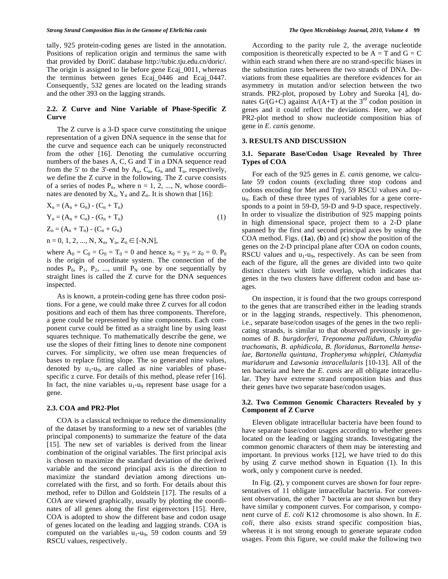tally, 925 protein-coding genes are listed in the annotation. Positions of replication origin and terminus the same with that provided by DoriC database http://tubic.tju.edu.cn/doric/. The origin is assigned to lie before gene Ecaj 0011, whereas the terminus between genes Ecaj\_0446 and Ecaj\_0447. Consequently, 532 genes are located on the leading strands and the other 393 on the lagging strands.

## **2.2. Z Curve and Nine Variable of Phase-Specific Z Curve**

 The Z curve is a 3-D space curve constituting the unique representation of a given DNA sequence in the sense that for the curve and sequence each can be uniquely reconstructed from the other [16]. Denoting the cumulative occurring numbers of the bases A, C, G and T in a DNA sequence read from the 5' to the 3'-end by  $A_n$ ,  $C_n$ ,  $G_n$  and  $T_n$ , respectively, we define the Z curve in the following. The Z curve consists of a series of nodes  $P_n$ , where  $n = 1, 2, ..., N$ , whose coordinates are denoted by  $X_n$ ,  $Y_n$  and  $Z_n$ . It is shown that [16]:

$$
X_n = (A_n + G_n) - (C_n + T_n)
$$
  
\n
$$
Y_n = (A_n + C_n) - (G_n + T_n)
$$
  
\n
$$
Z_n = (A_n + T_n) - (C_n + G_n)
$$
  
\n
$$
n = 0, 1, 2, ..., N, X_n, Y_n, Z_n \in [-N, N],
$$
\n(1)

where  $A_0 = C_0 = G_0 = T_0 = 0$  and hence  $x_0 = y_0 = z_0 = 0$ .  $P_0$ is the origin of coordinate system. The connection of the nodes  $P_0$ ,  $P_1$ ,  $P_2$ , ..., until  $P_N$  one by one sequentially by straight lines is called the Z curve for the DNA sequences inspected.

 As is known, a protein-coding gene has three codon positions. For a gene, we could make three Z curves for all codon positions and each of them has three components. Therefore, a gene could be represented by nine components. Each component curve could be fitted as a straight line by using least squares technique. To mathematically describe the gene, we use the slopes of their fitting lines to denote nine component curves. For simplicity, we often use mean frequencies of bases to replace fitting slope. The so generated nine values, denoted by  $u_1$ -u<sub>9</sub>, are called as nine variables of phasespecific z curve. For details of this method, please refer [16]. In fact, the nine variables  $u_1-u_9$  represent base usage for a gene.

## **2.3. COA and PR2-Plot**

 COA is a classical technique to reduce the dimensionality of the dataset by transforming to a new set of variables (the principal components) to summarize the feature of the data [15]. The new set of variables is derived from the linear combination of the original variables. The first principal axis is chosen to maximize the standard deviation of the derived variable and the second principal axis is the direction to maximize the standard deviation among directions uncorrelated with the first, and so forth. For details about this method, refer to Dillon and Goldstein [17]. The results of a COA are viewed graphically, usually by plotting the coordinates of all genes along the first eigenvectors [15]. Here, COA is adopted to show the different base and codon usage of genes located on the leading and lagging strands. COA is computed on the variables  $u_1-u_9$ , 59 codon counts and 59 RSCU values, respectively.

 According to the parity rule 2, the average nucleotide composition is theoretically expected to be  $A = T$  and  $G = C$ within each strand when there are no strand-specific biases in the substitution rates between the two strands of DNA. Deviations from these equalities are therefore evidences for an asymmetry in mutation and/or selection between the two strands. PR2-plot, proposed by Lobry and Sueoka [4], donates  $G/(G+C)$  against  $A/(A+T)$  at the 3<sup>rd</sup> codon position in genes and it could reflect the deviations. Here, we adopt PR2-plot method to show nucleotide composition bias of gene in *E*. *canis* genome.

### **3. RESULTS AND DISCUSSION**

## **3.1. Separate Base/Codon Usage Revealed by Three Types of COA**

 For each of the 925 genes in *E. canis* genome, we calculate 59 codon counts (excluding three stop codons and codons encoding for Met and Trp), 59 RSCU values and  $u_1$ u9. Each of these three types of variables for a gene corresponds to a point in 59-D, 59-D and 9-D space, respectively. In order to visualize the distribution of 925 mapping points in high dimensional space, project them to a 2-D plane spanned by the first and second principal axes by using the COA method. Figs. (**1a**), (**b**) and (**c**) show the position of the genes on the 2-D principal plane after COA on codon counts, RSCU values and  $u_1$ - $u_9$ , respectively. As can be seen from each of the figure, all the genes are divided into two quite distinct clusters with little overlap, which indicates that genes in the two clusters have different codon and base usages.

 On inspection, it is found that the two groups correspond to the genes that are transcribed either in the leading strands or in the lagging strands, respectively. This phenomenon, i.e., separate base/codon usages of the genes in the two replicating strands, is similar to that observed previously in genomes of *B*. *burgdorferi*, *Treponema pallidum*, *Chlamydia trachomatis*, *B*. *aphidicola*, *B*. *floridanus*, *Bartonella henselae*, *Bartonella quintana*, *Tropheryma whipplei*, *Chlamydia muridarum* and *Lawsonia intracellularis* [10-13]. All of the ten bacteria and here the *E. canis* are all obligate intracellular. They have extreme strand composition bias and thus their genes have two separate base/codon usages.

## **3.2. Two Common Genomic Characters Revealed by y Component of Z Curve**

 Eleven obligate intracellular bacteria have been found to have separate base/codon usages according to whether genes located on the leading or lagging strands. Investigating the common genomic characters of them may be interesting and important. In previous works [12], we have tried to do this by using Z curve method shown in Equation (1). In this work, only y component curve is needed.

 In Fig. (**2**), y component curves are shown for four representatives of 11 obligate intracellular bacteria. For convenient observation, the other 7 bacteria are not shown but they have similar y component curves. For comparison, y component curve of *E*. *coli* K12 chromosome is also shown. In *E*. *coli*, there also exists strand specific composition bias, whereas it is not strong enough to generate separate codon usages. From this figure, we could make the following two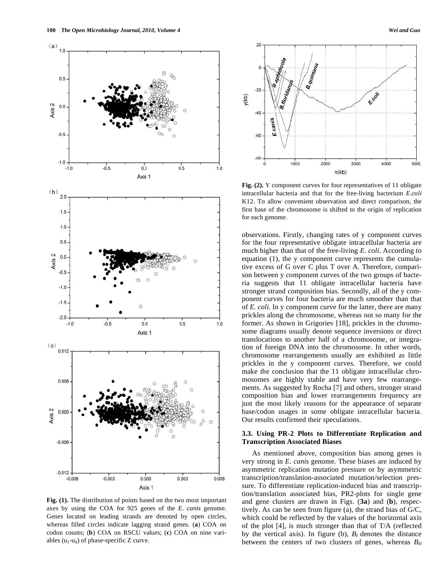

Fig. (1). The distribution of points based on the two most important axes by using the COA for 925 genes of the *E*. *canis* genome. Genes located on leading strands are denoted by open circles, whereas filled circles indicate lagging strand genes. (**a**) COA on codon counts; (**b**) COA on RSCU values; (**c**) COA on nine variables  $(u_1-u_9)$  of phase-specific Z curve.



**Fig. (2).** Y component curves for four representatives of 11 obligate intracellular bacteria and that for the free-living bacterium *E*.*coli* K12. To allow convenient observation and direct comparison, the first base of the chromosome is shifted to the origin of replication for each genome.

observations. Firstly, changing rates of y component curves for the four representative obligate intracellular bacteria are much higher than that of the free-living *E*. *coli*. According to equation (1), the y component curve represents the cumulative excess of G over C plus T over A. Therefore, comparison between y component curves of the two groups of bacteria suggests that 11 obligate intracellular bacteria have stronger strand composition bias. Secondly, all of the y component curves for four bacteria are much smoother than that of *E. coli*. In y component curve for the latter, there are many prickles along the chromosome, whereas not so many for the former. As shown in Grigoriev [18], prickles in the chromosome diagrams usually denote sequence inversions or direct translocations to another half of a chromosome, or integration of foreign DNA into the chromosome. In other words, chromosome rearrangements usually are exhibited as little prickles in the y component curves. Therefore, we could make the conclusion that the 11 obligate intracellular chromosomes are highly stable and have very few rearrangements. As suggested by Rocha [7] and others, stronger strand composition bias and lower rearrangements frequency are just the most likely reasons for the appearance of separate base/codon usages in some obligate intracellular bacteria. Our results confirmed their speculations.

## **3.3. Using PR-2 Plots to Differentiate Replication and Transcription Associated Biases**

 As mentioned above, composition bias among genes is very strong in *E*. *canis* genome. These biases are induced by asymmetric replication mutation pressure or by asymmetric transcription/translation-associated mutation/selection pressure. To differentiate replication-induced bias and transcription/translation associated bias, PR2-plots for single gene and gene clusters are drawn in Figs. (**3a**) and (**b**), respectively. As can be seen from figure (a), the strand bias of G/C, which could be reflected by the values of the horizontal axis of the plot [4], is much stronger than that of T/A (reflected by the vertical axis). In figure (b),  $B<sub>I</sub>$  denotes the distance between the centers of two clusters of genes, whereas  $B_{II}$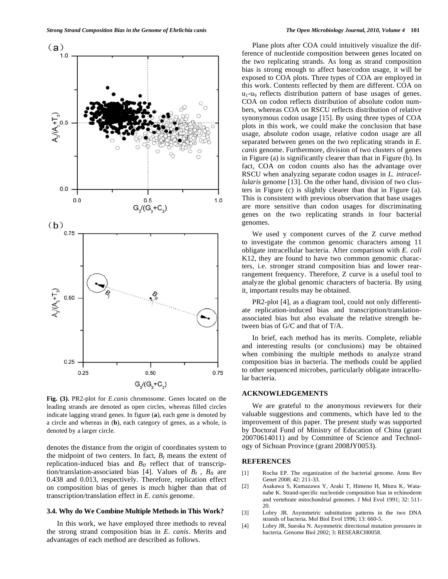

**Fig. (3).** PR2-plot for *E*.*canis* chromosome. Genes located on the leading strands are denoted as open circles, whereas filled circles indicate lagging strand genes. In figure (**a**), each gene is denoted by a circle and whereas in (**b**), each category of genes, as a whole, is denoted by a larger circle.

denotes the distance from the origin of coordinates system to the midpoint of two centers. In fact,  $B_I$  means the extent of replication-induced bias and  $B_{II}$  reflect that of transcription/translation-associated bias [4]. Values of  $B_I$ ,  $B_{II}$  are 0.438 and 0.013, respectively. Therefore, replication effect on composition bias of genes is much higher than that of transcription/translation effect in *E. canis* genome.

### **3.4. Why do We Combine Multiple Methods in This Work?**

 In this work, we have employed three methods to reveal the strong strand composition bias in *E. canis*. Merits and advantages of each method are described as follows.

 Plane plots after COA could intuitively visualize the difference of nucleotide composition between genes located on the two replicating strands. As long as strand composition bias is strong enough to affect base/codon usage, it will be exposed to COA plots. Three types of COA are employed in this work. Contents reflected by them are different. COA on  $u_1$ -u<sub>9</sub> reflects distribution pattern of base usages of genes. COA on codon reflects distribution of absolute codon numbers, whereas COA on RSCU reflects distribution of relative synonymous codon usage [15]. By using three types of COA plots in this work, we could make the conclusion that base usage, absolute codon usage, relative codon usage are all separated between genes on the two replicating strands in *E. canis* genome. Furthermore, division of two clusters of genes in Figure (a) is significantly clearer than that in Figure (b). In fact, COA on codon counts also has the advantage over RSCU when analyzing separate codon usages in *L. intracellularis* genome [13]. On the other hand, division of two clusters in Figure (c) is slightly clearer than that in Figure (a). This is consistent with previous observation that base usages are more sensitive than codon usages for discriminating genes on the two replicating strands in four bacterial genomes.

 We used y component curves of the Z curve method to investigate the common genomic characters among 11 obligate intracellular bacteria. After comparison with *E. coli* K12, they are found to have two common genomic characters, i.e. stronger strand composition bias and lower rearrangement frequency. Therefore, Z curve is a useful tool to analyze the global genomic characters of bacteria. By using it, important results may be obtained.

 PR2-plot [4], as a diagram tool, could not only differentiate replication-induced bias and transcription/translationassociated bias but also evaluate the relative strength between bias of G/C and that of T/A.

 In brief, each method has its merits. Complete, reliable and interesting results (or conclusions) may be obtained when combining the multiple methods to analyze strand composition bias in bacteria. The methods could be applied to other sequenced microbes, particularly obligate intracellular bacteria.

### **ACKNOWLEDGEMENTS**

 We are grateful to the anonymous reviewers for their valuable suggestions and comments, which have led to the improvement of this paper. The present study was supported by Doctoral Fund of Ministry of Education of China (grant 20070614011) and by Committee of Science and Technology of Sichuan Province (grant 2008JY0053).

#### **REFERENCES**

- [1] Rocha EP. The organization of the bacterial genome. Annu Rev Genet 2008; 42: 211-33.
- [2] Asakawa S, Kumazawa Y, Araki T, Himeno H, Miura K, Watanabe K. Strand-specific nucleotide composition bias in echinoderm and vertebrate mitochondrial genomes. J Mol Evol 1991; 32: 511- 20.
- [3] Lobry JR. Asymmetric substitution patterns in the two DNA strands of bacteria. Mol Biol Evol 1996; 13: 660-5.
- [4] Lobry JR, Sueoka N. Asymmetric directional mutation pressures in bacteria. Genome Biol 2002; 3: RESEARCH0058.